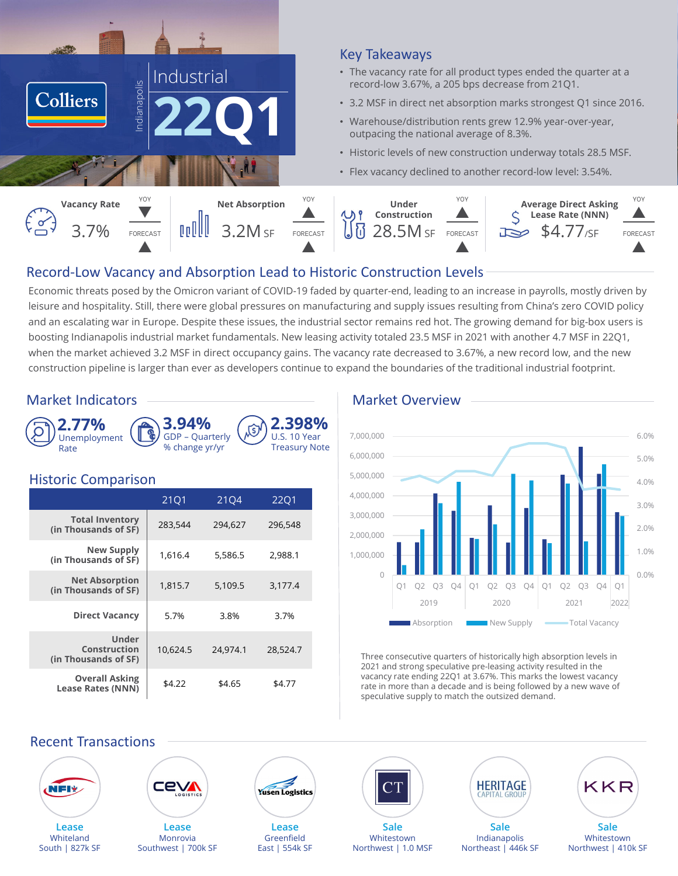

### Key Takeaways

- The vacancy rate for all product types ended the quarter at a record-low 3.67%, a 205 bps decrease from 21Q1.
- 3.2 MSF in direct net absorption marks strongest Q1 since 2016.
- Warehouse/distribution rents grew 12.9% year-over-year, outpacing the national average of 8.3%.
- Historic levels of new construction underway totals 28.5 MSF.
- Flex vacancy declined to another record-low level: 3.54%.



# Record‐Low Vacancy and Absorption Lead to Historic Construction Levels

Economic threats posed by the Omicron variant of COVID-19 faded by quarter-end, leading to an increase in payrolls, mostly driven by leisure and hospitality. Still, there were global pressures on manufacturing and supply issues resulting from China's zero COVID policy and an escalating war in Europe. Despite these issues, the industrial sector remains red hot. The growing demand for big-box users is boosting Indianapolis industrial market fundamentals. New leasing activity totaled 23.5 MSF in 2021 with another 4.7 MSF in 22Q1, when the market achieved 3.2 MSF in direct occupancy gains. The vacancy rate decreased to 3.67%, a new record low, and the new construction pipeline is larger than ever as developers continue to expand the boundaries of the traditional industrial footprint.

# Market Indicators ——————————————————— Market Overview





### Historic Comparison

|                                                   | 21Q1     | 2104     | 2201     |
|---------------------------------------------------|----------|----------|----------|
| <b>Total Inventory</b><br>(in Thousands of SF)    | 283,544  | 294,627  | 296,548  |
| <b>New Supply</b><br>(in Thousands of SF)         | 1,616.4  | 5,586.5  | 2,988.1  |
| <b>Net Absorption</b><br>(in Thousands of SF)     | 1,815.7  | 5,109.5  | 3,177.4  |
| <b>Direct Vacancy</b>                             | 5.7%     | 3.8%     | 3.7%     |
| Under<br>Construction<br>(in Thousands of SF)     | 10.624.5 | 24.974.1 | 28.524.7 |
| <b>Overall Asking</b><br><b>Lease Rates (NNN)</b> | \$4.22   | \$4.65   | \$4.77   |



Three consecutive quarters of historically high absorption levels in 2021 and strong speculative pre-leasing activity resulted in the vacancy rate ending 22Q1 at 3.67%. This marks the lowest vacancy rate in more than a decade and is being followed by a new wave of speculative supply to match the outsized demand.

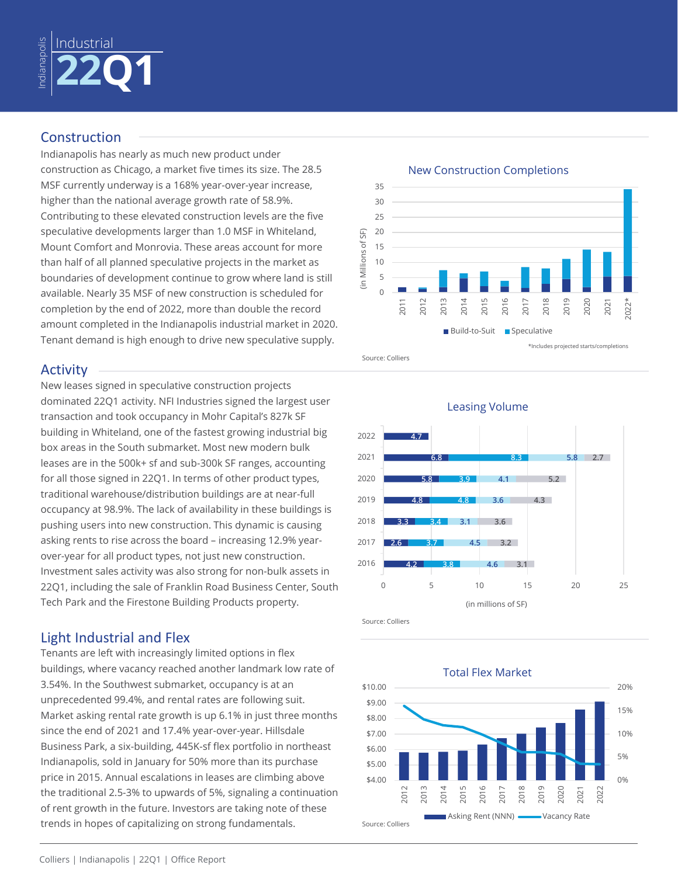

# Construction

Indianapolis has nearly as much new product under construction as Chicago, a market five times its size. The 28.5 MSF currently underway is a 168% year-over-year increase, higher than the national average growth rate of 58.9%. Contributing to these elevated construction levels are the five speculative developments larger than 1.0 MSF in Whiteland, Mount Comfort and Monrovia. These areas account for more than half of all planned speculative projects in the market as boundaries of development continue to grow where land is still available. Nearly 35 MSF of new construction is scheduled for completion by the end of 2022, more than double the record amount completed in the Indianapolis industrial market in 2020. Tenant demand is high enough to drive new speculative supply.

# Activity

New leases signed in speculative construction projects dominated 22Q1 activity. NFI Industries signed the largest user transaction and took occupancy in Mohr Capital's 827k SF building in Whiteland, one of the fastest growing industrial big box areas in the South submarket. Most new modern bulk leases are in the 500k+ sf and sub-300k SF ranges, accounting for all those signed in 22Q1. In terms of other product types, traditional warehouse/distribution buildings are at near-full occupancy at 98.9%. The lack of availability in these buildings is pushing users into new construction. This dynamic is causing asking rents to rise across the board – increasing 12.9% yearover-year for all product types, not just new construction. Investment sales activity was also strong for non-bulk assets in 22Q1, including the sale of Franklin Road Business Center, South Tech Park and the Firestone Building Products property.

# Light Industrial and Flex

Tenants are left with increasingly limited options in flex buildings, where vacancy reached another landmark low rate of 3.54%. In the Southwest submarket, occupancy is at an unprecedented 99.4%, and rental rates are following suit. Market asking rental rate growth is up 6.1% in just three months since the end of 2021 and 17.4% year-over-year. Hillsdale Business Park, a six-building, 445K-sf flex portfolio in northeast Indianapolis, sold in January for 50% more than its purchase price in 2015. Annual escalations in leases are climbing above the traditional 2.5-3% to upwards of 5%, signaling a continuation of rent growth in the future. Investors are taking note of these trends in hopes of capitalizing on strong fundamentals.



#### New Construction Completions





Source: Colliers

Total Flex Market

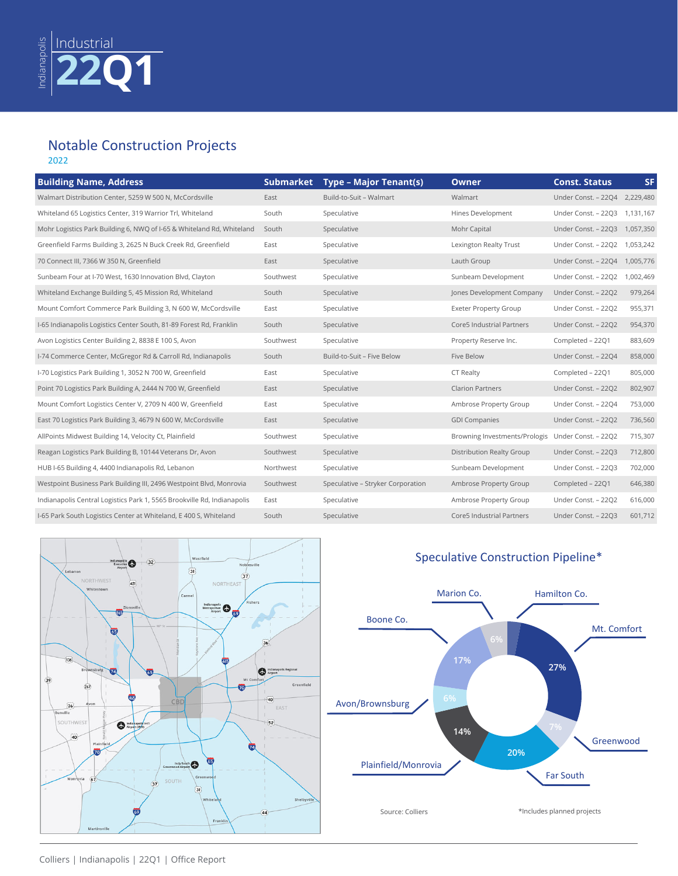#### Notable Construction Projects 2022

| <b>Building Name, Address</b>                                           | <b>Submarket</b> | <b>Type - Major Tenant(s)</b>     | <b>Owner</b>                     | <b>Const. Status</b>          | <b>SF</b> |
|-------------------------------------------------------------------------|------------------|-----------------------------------|----------------------------------|-------------------------------|-----------|
| Walmart Distribution Center, 5259 W 500 N, McCordsville                 | East             | Build-to-Suit - Walmart           | Walmart                          | Under Const. - 22Q4 2,229,480 |           |
| Whiteland 65 Logistics Center, 319 Warrior Trl, Whiteland               | South            | Speculative                       | Hines Development                | Under Const. - 22Q3           | 1,131,167 |
| Mohr Logistics Park Building 6, NWQ of I-65 & Whiteland Rd, Whiteland   | South            | Speculative                       | Mohr Capital                     | Under Const. - 22Q3           | 1,057,350 |
| Greenfield Farms Building 3, 2625 N Buck Creek Rd, Greenfield           | East             | Speculative                       | Lexington Realty Trust           | Under Const. - 22Q2           | 1,053,242 |
| 70 Connect III, 7366 W 350 N, Greenfield                                | East             | Speculative                       | Lauth Group                      | Under Const. - 22Q4           | 1,005,776 |
| Sunbeam Four at I-70 West, 1630 Innovation Blvd, Clayton                | Southwest        | Speculative                       | Sunbeam Development              | Under Const. - 22Q2           | 1,002,469 |
| Whiteland Exchange Building 5, 45 Mission Rd, Whiteland                 | South            | Speculative                       | Jones Development Company        | Under Const. - 22Q2           | 979,264   |
| Mount Comfort Commerce Park Building 3, N 600 W, McCordsville           | East             | Speculative                       | <b>Exeter Property Group</b>     | Under Const. - 22Q2           | 955,371   |
| I-65 Indianapolis Logistics Center South, 81-89 Forest Rd, Franklin     | South            | Speculative                       | <b>Core5 Industrial Partners</b> | Under Const. - 22Q2           | 954,370   |
| Avon Logistics Center Building 2, 8838 E 100 S, Avon                    | Southwest        | Speculative                       | Property Reserve Inc.            | Completed - 22Q1              | 883,609   |
| I-74 Commerce Center, McGregor Rd & Carroll Rd, Indianapolis            | South            | Build-to-Suit - Five Below        | Five Below                       | Under Const. - 22Q4           | 858,000   |
| I-70 Logistics Park Building 1, 3052 N 700 W, Greenfield                | East             | Speculative                       | CT Realty                        | Completed - 2201              | 805,000   |
| Point 70 Logistics Park Building A, 2444 N 700 W, Greenfield            | East             | Speculative                       | <b>Clarion Partners</b>          | Under Const. - 22Q2           | 802,907   |
| Mount Comfort Logistics Center V, 2709 N 400 W, Greenfield              | East             | Speculative                       | Ambrose Property Group           | Under Const. - 22Q4           | 753,000   |
| East 70 Logistics Park Building 3, 4679 N 600 W, McCordsville           | East             | Speculative                       | <b>GDI Companies</b>             | Under Const. - 22Q2           | 736,560   |
| AllPoints Midwest Building 14, Velocity Ct, Plainfield                  | Southwest        | Speculative                       | Browning Investments/Prologis    | Under Const. - 22Q2           | 715,307   |
| Reagan Logistics Park Building B, 10144 Veterans Dr, Avon               | Southwest        | Speculative                       | Distribution Realty Group        | Under Const. - 22Q3           | 712,800   |
| HUB I-65 Building 4, 4400 Indianapolis Rd, Lebanon                      | Northwest        | Speculative                       | Sunbeam Development              | Under Const. - 22Q3           | 702,000   |
| Westpoint Business Park Building III, 2496 Westpoint Blvd, Monrovia     | Southwest        | Speculative - Stryker Corporation | Ambrose Property Group           | Completed - 2201              | 646,380   |
| Indianapolis Central Logistics Park 1, 5565 Brookville Rd, Indianapolis | East             | Speculative                       | Ambrose Property Group           | Under Const. - 22Q2           | 616,000   |
| I-65 Park South Logistics Center at Whiteland, E 400 S, Whiteland       | South            | Speculative                       | Core5 Industrial Partners        | Under Const. - 22Q3           | 601,712   |